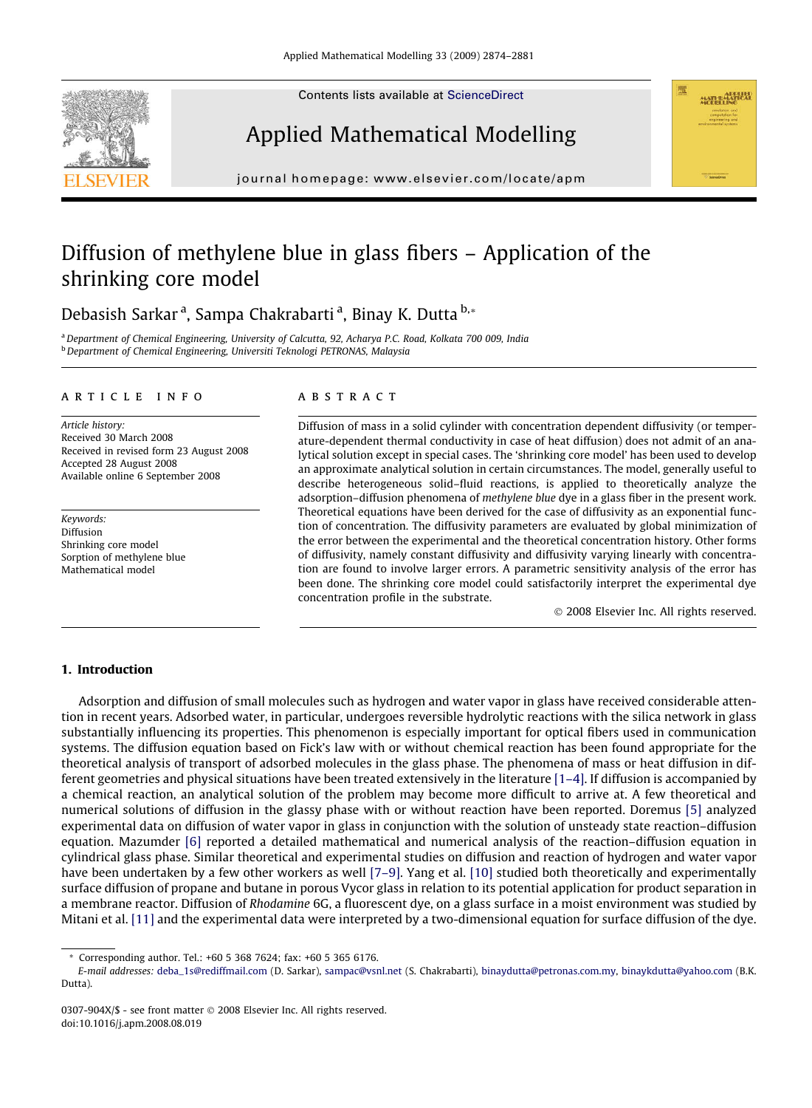Contents lists available at [ScienceDirect](http://www.sciencedirect.com/science/journal/0307904X)







journal homepage: [www.elsevier.com/locate/apm](http://www.elsevier.com/locate/apm)

# Diffusion of methylene blue in glass fibers – Application of the shrinking core model

Debasish Sarkar<sup>a</sup>, Sampa Chakrabarti<sup>a</sup>, Binay K. Dutta <sup>b,</sup>\*

a Department of Chemical Engineering, University of Calcutta, 92, Acharya P.C. Road, Kolkata 700 009, India **b** Department of Chemical Engineering, Universiti Teknologi PETRONAS, Malaysia

#### article info

Article history: Received 30 March 2008 Received in revised form 23 August 2008 Accepted 28 August 2008 Available online 6 September 2008

Keywords: Diffusion Shrinking core model Sorption of methylene blue Mathematical model

#### **ABSTRACT**

Diffusion of mass in a solid cylinder with concentration dependent diffusivity (or temperature-dependent thermal conductivity in case of heat diffusion) does not admit of an analytical solution except in special cases. The 'shrinking core model' has been used to develop an approximate analytical solution in certain circumstances. The model, generally useful to describe heterogeneous solid–fluid reactions, is applied to theoretically analyze the adsorption–diffusion phenomena of methylene blue dye in a glass fiber in the present work. Theoretical equations have been derived for the case of diffusivity as an exponential function of concentration. The diffusivity parameters are evaluated by global minimization of the error between the experimental and the theoretical concentration history. Other forms of diffusivity, namely constant diffusivity and diffusivity varying linearly with concentration are found to involve larger errors. A parametric sensitivity analysis of the error has been done. The shrinking core model could satisfactorily interpret the experimental dye concentration profile in the substrate.

- 2008 Elsevier Inc. All rights reserved.

# 1. Introduction

Adsorption and diffusion of small molecules such as hydrogen and water vapor in glass have received considerable attention in recent years. Adsorbed water, in particular, undergoes reversible hydrolytic reactions with the silica network in glass substantially influencing its properties. This phenomenon is especially important for optical fibers used in communication systems. The diffusion equation based on Fick's law with or without chemical reaction has been found appropriate for the theoretical analysis of transport of adsorbed molecules in the glass phase. The phenomena of mass or heat diffusion in different geometries and physical situations have been treated extensively in the literature [\[1–4\].](#page-7-0) If diffusion is accompanied by a chemical reaction, an analytical solution of the problem may become more difficult to arrive at. A few theoretical and numerical solutions of diffusion in the glassy phase with or without reaction have been reported. Doremus [\[5\]](#page-7-0) analyzed experimental data on diffusion of water vapor in glass in conjunction with the solution of unsteady state reaction–diffusion equation. Mazumder [\[6\]](#page-7-0) reported a detailed mathematical and numerical analysis of the reaction–diffusion equation in cylindrical glass phase. Similar theoretical and experimental studies on diffusion and reaction of hydrogen and water vapor have been undertaken by a few other workers as well [\[7–9\]](#page-7-0). Yang et al. [\[10\]](#page-7-0) studied both theoretically and experimentally surface diffusion of propane and butane in porous Vycor glass in relation to its potential application for product separation in a membrane reactor. Diffusion of Rhodamine 6G, a fluorescent dye, on a glass surface in a moist environment was studied by Mitani et al. [\[11\]](#page-7-0) and the experimental data were interpreted by a two-dimensional equation for surface diffusion of the dye.

Corresponding author. Tel.: +60 5 368 7624; fax: +60 5 365 6176.

E-mail addresses: [deba\\_1s@rediffmail.com](mailto:deba_1s@rediffmail.com) (D. Sarkar), [sampac@vsnl.net](mailto:sampac@vsnl.net) (S. Chakrabarti), [binaydutta@petronas.com.my](mailto:binaydutta@petronas.com.my), [binaykdutta@yahoo.com](mailto:binaykdutta@yahoo.com) (B.K. Dutta).

<sup>0307-904</sup>X/\$ - see front matter © 2008 Elsevier Inc. All rights reserved. doi:10.1016/j.apm.2008.08.019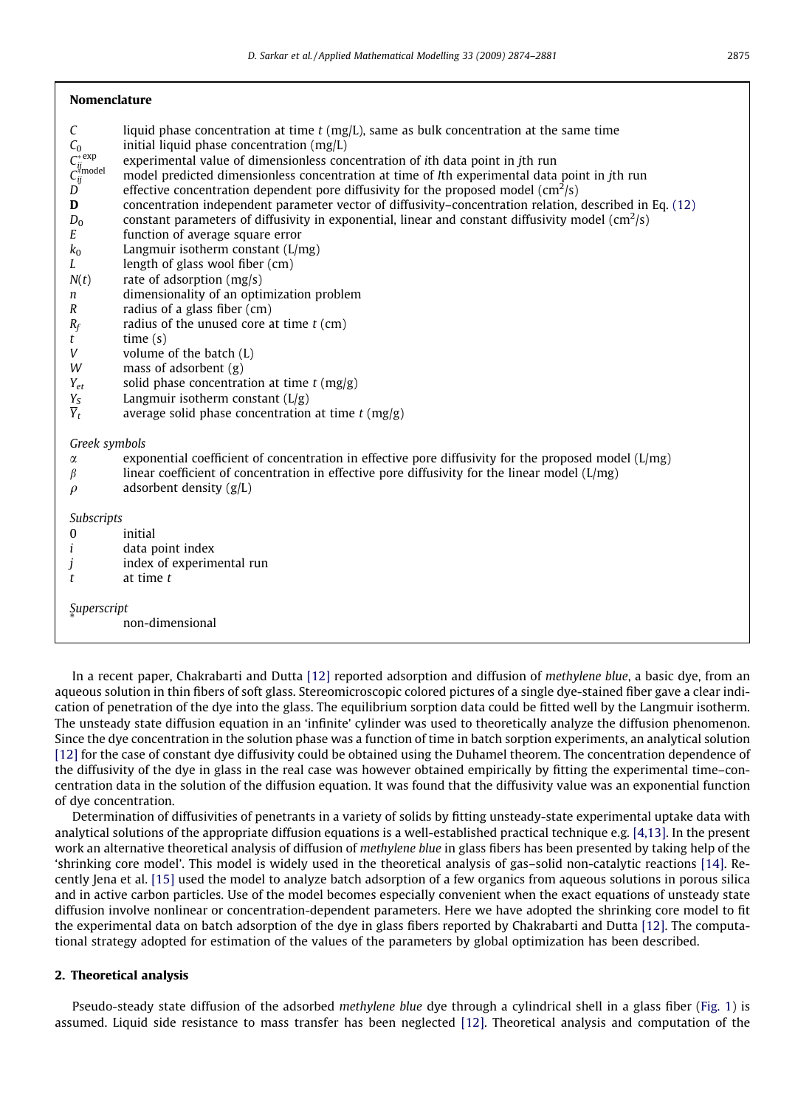# Nomenclature

- $C$  liquid phase concentration at time t (mg/L), same as bulk concentration at the same time
- $C_0$  initial liquid phase concentration (mg/L)
- $C_{ii}^*$ <sup>exp</sup> experimental value of dimensionless concentration of ith data point in jth run
- $C_{ii}^{\text{Zmodel}}$ model predicted dimensionless concentration at time of Ith experimental data point in jth run
- $\overline{D}$  effective concentration dependent pore diffusivity for the proposed model (cm<sup>2</sup>/s)
- D concentration independent parameter vector of diffusivity–concentration relation, described in Eq. [\(12\)](#page-3-0)
- $D_0$  constant parameters of diffusivity in exponential, linear and constant diffusivity model (cm $^2$ /s)
- E function of average square error
- $k_0$  Langmuir isotherm constant (L/mg)
- L length of glass wool fiber (cm)
- $N(t)$  rate of adsorption (mg/s)
- n dimensionality of an optimization problem
- R radius of a glass fiber (cm)
- $R_f$  radius of the unused core at time  $t$  (cm)
- $t$  time  $(s)$
- V volume of the batch (L)
- W mass of adsorbent  $(g)$
- $Y_{et}$  solid phase concentration at time t (mg/g)<br>  $Y_{s}$  Langmuir isotherm constant (L/g)
- $Y_S$  Langmuir isotherm constant (L/g)<br> $\overline{Y}_t$  average solid phase concentration
- average solid phase concentration at time  $t$  (mg/g)

Greek symbols

- $\alpha$  exponential coefficient of concentration in effective pore diffusivity for the proposed model (L/mg) linear coefficient of concentration in effective pore diffusivity for the linear model (L/mg)
- linear coefficient of concentration in effective pore diffusivity for the linear model  $(L/mg)$
- $\rho$  adsorbent density (g/L)

# Subscripts

- 0 initial
- $i$  data point index
- j index of experimental run
- t at time t

Superscript

non-dimensional

In a recent paper, Chakrabarti and Dutta [\[12\]](#page-7-0) reported adsorption and diffusion of methylene blue, a basic dye, from an aqueous solution in thin fibers of soft glass. Stereomicroscopic colored pictures of a single dye-stained fiber gave a clear indication of penetration of the dye into the glass. The equilibrium sorption data could be fitted well by the Langmuir isotherm. The unsteady state diffusion equation in an 'infinite' cylinder was used to theoretically analyze the diffusion phenomenon. Since the dye concentration in the solution phase was a function of time in batch sorption experiments, an analytical solution [\[12\]](#page-7-0) for the case of constant dye diffusivity could be obtained using the Duhamel theorem. The concentration dependence of the diffusivity of the dye in glass in the real case was however obtained empirically by fitting the experimental time–concentration data in the solution of the diffusion equation. It was found that the diffusivity value was an exponential function of dye concentration.

Determination of diffusivities of penetrants in a variety of solids by fitting unsteady-state experimental uptake data with analytical solutions of the appropriate diffusion equations is a well-established practical technique e.g. [\[4,13\].](#page-7-0) In the present work an alternative theoretical analysis of diffusion of methylene blue in glass fibers has been presented by taking help of the 'shrinking core model'. This model is widely used in the theoretical analysis of gas–solid non-catalytic reactions [\[14\].](#page-7-0) Recently Jena et al. [\[15\]](#page-7-0) used the model to analyze batch adsorption of a few organics from aqueous solutions in porous silica and in active carbon particles. Use of the model becomes especially convenient when the exact equations of unsteady state diffusion involve nonlinear or concentration-dependent parameters. Here we have adopted the shrinking core model to fit the experimental data on batch adsorption of the dye in glass fibers reported by Chakrabarti and Dutta [\[12\].](#page-7-0) The computational strategy adopted for estimation of the values of the parameters by global optimization has been described.

# 2. Theoretical analysis

Pseudo-steady state diffusion of the adsorbed methylene blue dye through a cylindrical shell in a glass fiber [\(Fig. 1\)](#page-2-0) is assumed. Liquid side resistance to mass transfer has been neglected [\[12\].](#page-7-0) Theoretical analysis and computation of the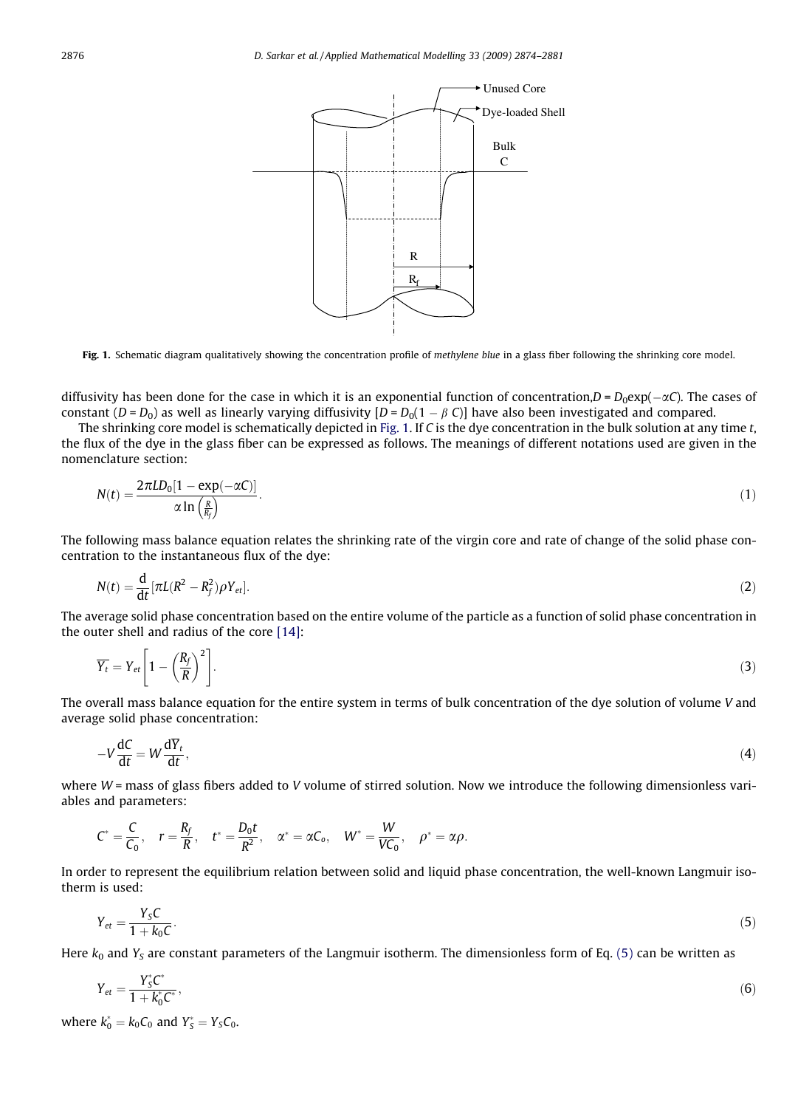<span id="page-2-0"></span>

Fig. 1. Schematic diagram qualitatively showing the concentration profile of methylene blue in a glass fiber following the shrinking core model.

diffusivity has been done for the case in which it is an exponential function of concentration, $D = D_0 \exp(-\alpha C)$ . The cases of constant  $(D = D_0)$  as well as linearly varying diffusivity  $[D = D_0(1 - \beta C)]$  have also been investigated and compared.

The shrinking core model is schematically depicted in Fig. 1. If C is the dye concentration in the bulk solution at any time t, the flux of the dye in the glass fiber can be expressed as follows. The meanings of different notations used are given in the nomenclature section:

$$
N(t) = \frac{2\pi LD_0[1 - \exp(-\alpha C)]}{\alpha \ln\left(\frac{R}{R_f}\right)}.
$$
\n(1)

The following mass balance equation relates the shrinking rate of the virgin core and rate of change of the solid phase concentration to the instantaneous flux of the dye:

$$
N(t) = \frac{\mathrm{d}}{\mathrm{d}t} \left[ \pi L (R^2 - R_f^2) \rho Y_{\text{et}} \right].
$$

The average solid phase concentration based on the entire volume of the particle as a function of solid phase concentration in the outer shell and radius of the core [\[14\]](#page-7-0):

$$
\overline{Y_t} = Y_{et} \left[ 1 - \left( \frac{R_f}{R} \right)^2 \right]. \tag{3}
$$

The overall mass balance equation for the entire system in terms of bulk concentration of the dye solution of volume V and average solid phase concentration:

$$
-V\frac{\mathrm{d}C}{\mathrm{d}t} = W\frac{\mathrm{d}\overline{Y}_t}{\mathrm{d}t},\tag{4}
$$

where  $W$  = mass of glass fibers added to V volume of stirred solution. Now we introduce the following dimensionless variables and parameters:

$$
C^* = \frac{C}{C_0}, \quad r = \frac{R_f}{R}, \quad t^* = \frac{D_0 t}{R^2}, \quad \alpha^* = \alpha C_0, \quad W^* = \frac{W}{V C_0}, \quad \rho^* = \alpha \rho.
$$

In order to represent the equilibrium relation between solid and liquid phase concentration, the well-known Langmuir isotherm is used:

$$
Y_{et} = \frac{Y_S C}{1 + k_0 C}.\tag{5}
$$

Here  $k_0$  and  $Y_s$  are constant parameters of the Langmuir isotherm. The dimensionless form of Eq. (5) can be written as

$$
Y_{et} = \frac{Y_S^* C^*}{1 + k_0^* C^*},\tag{6}
$$

where  $k_0^* = k_0 C_0$  and  $Y_S^* = Y_S C_0$ .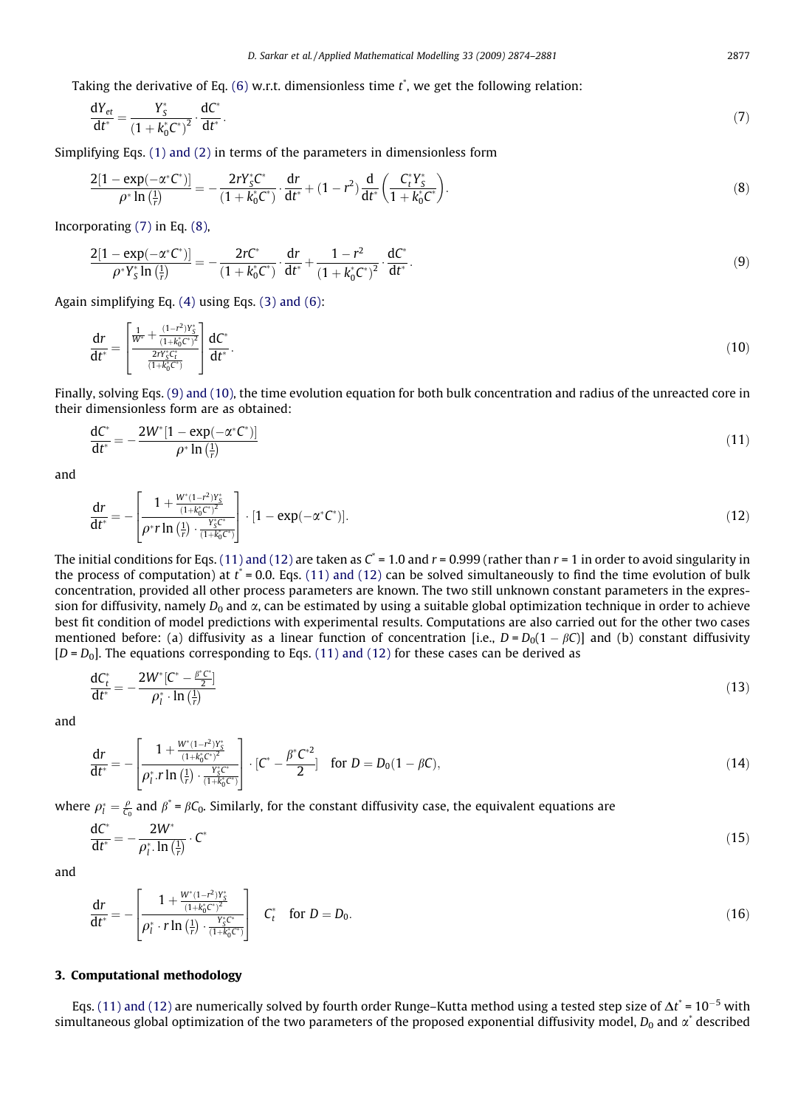<span id="page-3-0"></span>Taking the derivative of Eq. [\(6\)](#page-2-0) w.r.t. dimensionless time  $t^*$ , we get the following relation:

$$
\frac{dY_{et}}{dt^*} = \frac{Y_S^*}{(1 + k_0^* C^*)^2} \cdot \frac{dC^*}{dt^*}.
$$
\n(7)

Simplifying Eqs. [\(1\) and \(2\)](#page-2-0) in terms of the parameters in dimensionless form

$$
\frac{2[1 - \exp(-\alpha^* C^*)]}{\rho^* \ln(\frac{1}{r})} = -\frac{2rY_S^* C^*}{(1 + k_0^* C^*)} \cdot \frac{dr}{dt^*} + (1 - r^2) \frac{d}{dt^*} \left(\frac{C_t^* Y_S^*}{1 + k_0^* C^*}\right).
$$
\n(8)

Incorporating (7) in Eq. (8),

$$
\frac{2[1 - \exp(-\alpha^* C^*)]}{\rho^* Y_s^* \ln(\frac{1}{r})} = -\frac{2r C^*}{(1 + k_0^* C^*)} \cdot \frac{dr}{dt^*} + \frac{1 - r^2}{(1 + k_0^* C^*)^2} \cdot \frac{dC^*}{dt^*}.
$$
(9)

Again simplifying Eq. [\(4\)](#page-2-0) using Eqs. [\(3\) and \(6\)](#page-2-0):

$$
\frac{dr}{dt^*} = \left[\frac{\frac{1}{W^*} + \frac{(1-r^2)Y_S^*}{(1+k_0^*C^*)^2}}{\frac{2rY_S^*C_t^*}{(1+k_0^*C^*)}}\right] \frac{dC^*}{dt^*}.
$$
\n(10)

Finally, solving Eqs. (9) and (10), the time evolution equation for both bulk concentration and radius of the unreacted core in their dimensionless form are as obtained:

$$
\frac{dC^*}{dt^*} = -\frac{2W^*[1 - \exp(-\alpha^* C^*)]}{\rho^* \ln(\frac{1}{t})}
$$
\n(11)

and

$$
\frac{dr}{dt^*} = -\left[\frac{1 + \frac{W^*(1 - r^2)Y_s^*}{(1 + k_0^* C^*)^2}}{\rho^* r \ln\left(\frac{1}{r}\right) \cdot \frac{Y_s^* C^*}{(1 + k_0^* C^*)}}\right] \cdot [1 - \exp(-\alpha^* C^*)].\tag{12}
$$

The initial conditions for Eqs. (11) and (12) are taken as  $C^* = 1.0$  and  $r = 0.999$  (rather than  $r = 1$  in order to avoid singularity in the process of computation) at  $t^*$  = 0.0. Eqs. (11) and (12) can be solved simultaneously to find the time evolution of bulk concentration, provided all other process parameters are known. The two still unknown constant parameters in the expression for diffusivity, namely  $D_0$  and  $\alpha$ , can be estimated by using a suitable global optimization technique in order to achieve best fit condition of model predictions with experimental results. Computations are also carried out for the other two cases mentioned before: (a) diffusivity as a linear function of concentration [i.e.,  $D = D_0(1 - \beta C)$ ] and (b) constant diffusivity  $[D = D<sub>0</sub>]$ . The equations corresponding to Eqs. (11) and (12) for these cases can be derived as

$$
\frac{dC_t^*}{dt^*} = -\frac{2W^*[C^* - \frac{\beta^*C^*}{2}]}{\rho_l^* \cdot \ln(\frac{1}{r})}
$$
\n(13)

and

$$
\frac{dr}{dt^*} = -\left[\frac{1 + \frac{W^*(1 - r^2)Y_5^*}{(1 + k_0^* C^*)^2}}{\rho_l^* \cdot r \ln\left(\frac{1}{r}\right) \cdot \frac{Y_5^* C^*}{(1 + k_0^* C^*)}}\right] \cdot \left[C^* - \frac{\beta^* C^{*2}}{2}\right] \quad \text{for } D = D_0(1 - \beta C),\tag{14}
$$

where  $\rho^*_l = \frac{\rho}{C_0}$  and  $\beta^* = \beta C_0$ . Similarly, for the constant diffusivity case, the equivalent equations are

$$
\frac{\mathrm{d}C^*}{\mathrm{d}t^*} = -\frac{2W^*}{\rho_l^*\cdot\ln\left(\frac{1}{r}\right)}\cdot C^*\tag{15}
$$

and

$$
\frac{dr}{dt^*} = -\left[\frac{1 + \frac{W^*(1 - r^2)Y_s^*}{(1 + k_0^*(c^*))^2}}{\rho_l^* \cdot r \ln\left(\frac{1}{r}\right) \cdot \frac{Y_s^* C^*}{(1 + k_0^*(c^*))}}\right] \quad C_t^* \quad \text{for } D = D_0. \tag{16}
$$

### 3. Computational methodology

Eqs. (11) and (12) are numerically solved by fourth order Runge–Kutta method using a tested step size of  $\Delta t^*$  = 10<sup>-5</sup> with simultaneous global optimization of the two parameters of the proposed exponential diffusivity model,  $D_0$  and  $\alpha^*$  described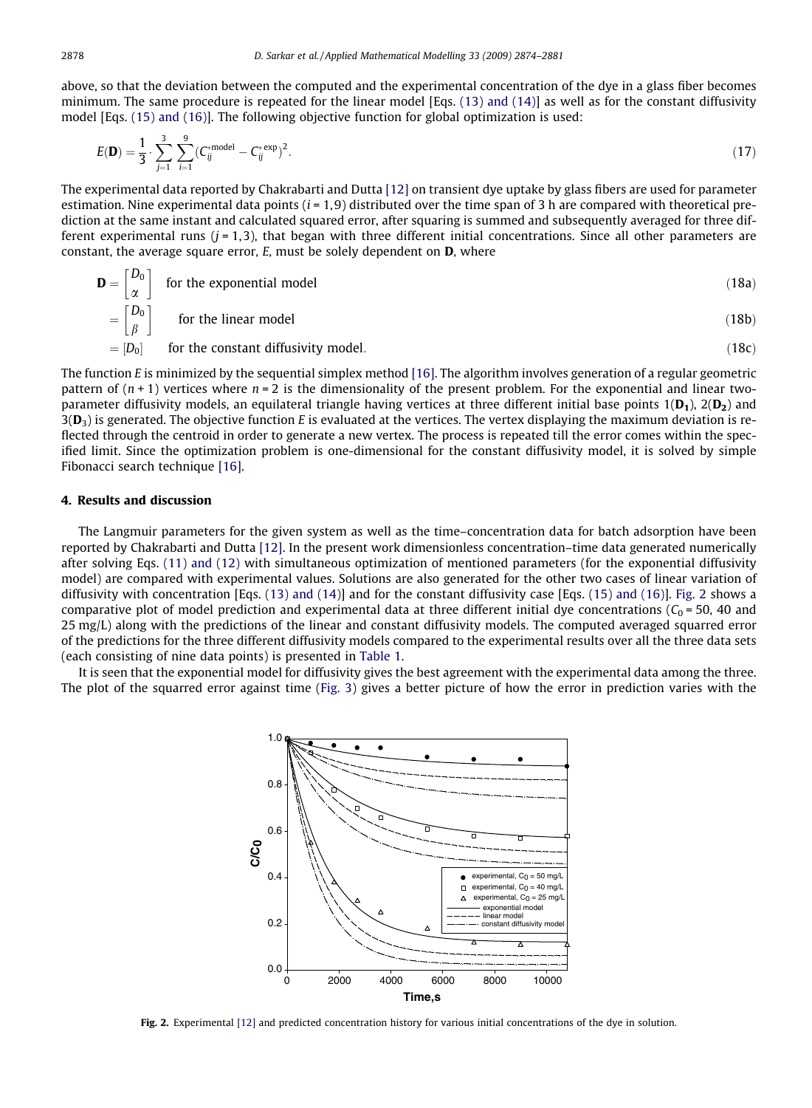above, so that the deviation between the computed and the experimental concentration of the dye in a glass fiber becomes minimum. The same procedure is repeated for the linear model [Eqs.  $(13)$  and  $(14)$ ] as well as for the constant diffusivity model [Eqs. [\(15\) and \(16\)\]](#page-3-0). The following objective function for global optimization is used:

$$
E(\mathbf{D}) = \frac{1}{3} \cdot \sum_{j=1}^{3} \sum_{i=1}^{9} (C_{ij}^{*model} - C_{ij}^{*}^{exp})^{2}.
$$
 (17)

The experimental data reported by Chakrabarti and Dutta [\[12\]](#page-7-0) on transient dye uptake by glass fibers are used for parameter estimation. Nine experimental data points  $(i = 1, 9)$  distributed over the time span of 3 h are compared with theoretical prediction at the same instant and calculated squared error, after squaring is summed and subsequently averaged for three different experimental runs  $(i = 1,3)$ , that began with three different initial concentrations. Since all other parameters are constant, the average square error,  $E$ , must be solely dependent on  $D$ , where

$$
\mathbf{D} = \begin{bmatrix} D_0 \\ \alpha \end{bmatrix}
$$
 for the exponential model (18a)

$$
= \begin{bmatrix} D_0 \\ \beta \end{bmatrix} \qquad \text{for the linear model} \tag{18b}
$$

$$
=[D_0] \qquad \text{for the constant diffusivity model.} \tag{18c}
$$

The function E is minimized by the sequential simplex method [\[16\].](#page-7-0) The algorithm involves generation of a regular geometric pattern of  $(n + 1)$  vertices where  $n = 2$  is the dimensionality of the present problem. For the exponential and linear twoparameter diffusivity models, an equilateral triangle having vertices at three different initial base points  $1(D_1)$ ,  $2(D_2)$  and  $3(D_3)$  is generated. The objective function E is evaluated at the vertices. The vertex displaying the maximum deviation is reflected through the centroid in order to generate a new vertex. The process is repeated till the error comes within the specified limit. Since the optimization problem is one-dimensional for the constant diffusivity model, it is solved by simple Fibonacci search technique [\[16\].](#page-7-0)

### 4. Results and discussion

 $\overline{r}$ 

The Langmuir parameters for the given system as well as the time–concentration data for batch adsorption have been reported by Chakrabarti and Dutta [\[12\].](#page-7-0) In the present work dimensionless concentration–time data generated numerically after solving Eqs. [\(11\) and \(12\)](#page-3-0) with simultaneous optimization of mentioned parameters (for the exponential diffusivity model) are compared with experimental values. Solutions are also generated for the other two cases of linear variation of diffusivity with concentration [Eqs. [\(13\) and \(14\)\]](#page-3-0) and for the constant diffusivity case [Eqs. [\(15\) and \(16\)\]](#page-3-0). Fig. 2 shows a comparative plot of model prediction and experimental data at three different initial dye concentrations ( $C_0$  = 50, 40 and 25 mg/L) along with the predictions of the linear and constant diffusivity models. The computed averaged squarred error of the predictions for the three different diffusivity models compared to the experimental results over all the three data sets (each consisting of nine data points) is presented in [Table 1](#page-5-0).

It is seen that the exponential model for diffusivity gives the best agreement with the experimental data among the three. The plot of the squarred error against time [\(Fig. 3](#page-5-0)) gives a better picture of how the error in prediction varies with the



Fig. 2. Experimental [\[12\]](#page-7-0) and predicted concentration history for various initial concentrations of the dye in solution.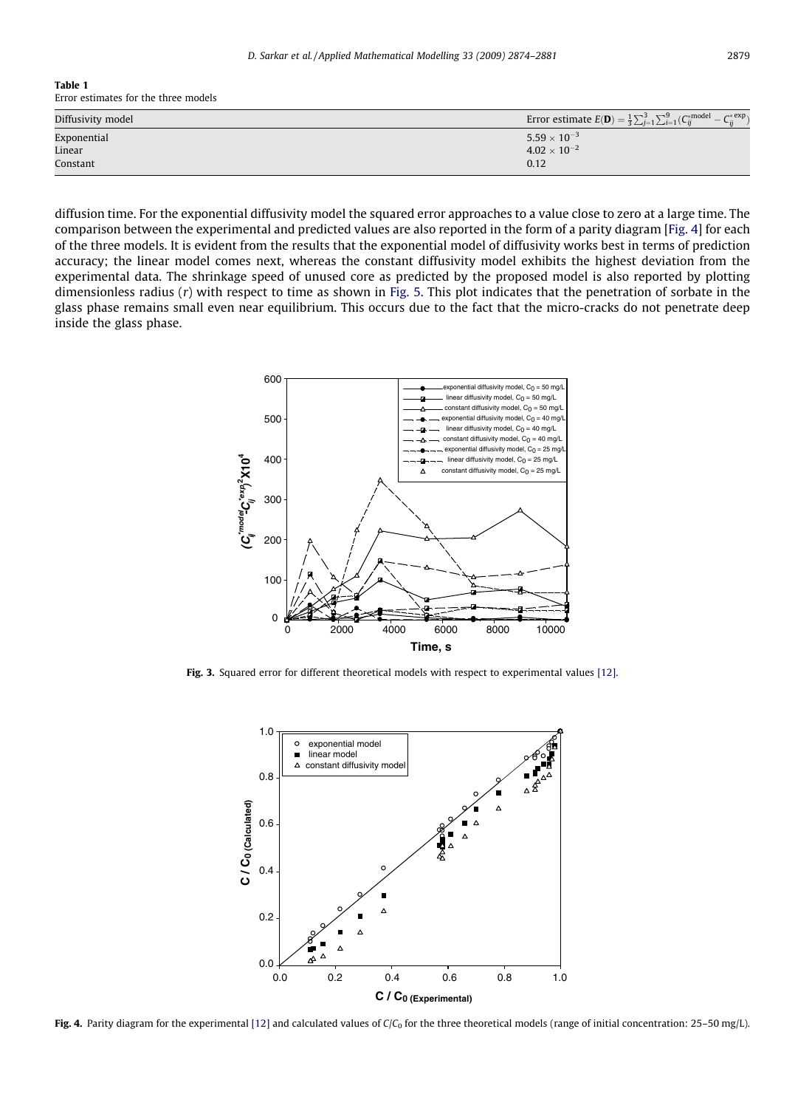#### <span id="page-5-0"></span>Table 1 Error estimates for the three models

| Diffusivity model | Error estimate $E(\mathbf{D}) = \frac{1}{3} \sum_{j=1}^{3} \sum_{i=1}^{9} (C_{ij}^{*model} - C_{ii}^{*k})$<br>$C^*$ exp |
|-------------------|-------------------------------------------------------------------------------------------------------------------------|
| Exponential       | $5.59 \times 10^{-3}$                                                                                                   |
| Linear            | $4.02 \times 10^{-2}$                                                                                                   |
| Constant          | 0.12                                                                                                                    |

diffusion time. For the exponential diffusivity model the squared error approaches to a value close to zero at a large time. The comparison between the experimental and predicted values are also reported in the form of a parity diagram [Fig. 4] for each of the three models. It is evident from the results that the exponential model of diffusivity works best in terms of prediction accuracy; the linear model comes next, whereas the constant diffusivity model exhibits the highest deviation from the experimental data. The shrinkage speed of unused core as predicted by the proposed model is also reported by plotting dimensionless radius (r) with respect to time as shown in [Fig. 5](#page-6-0). This plot indicates that the penetration of sorbate in the glass phase remains small even near equilibrium. This occurs due to the fact that the micro-cracks do not penetrate deep inside the glass phase.



Fig. 3. Squared error for different theoretical models with respect to experimental values [\[12\]](#page-7-0).



Fig. 4. Parity diagram for the experimental [\[12\]](#page-7-0) and calculated values of  $C/C_0$  for the three theoretical models (range of initial concentration: 25-50 mg/L).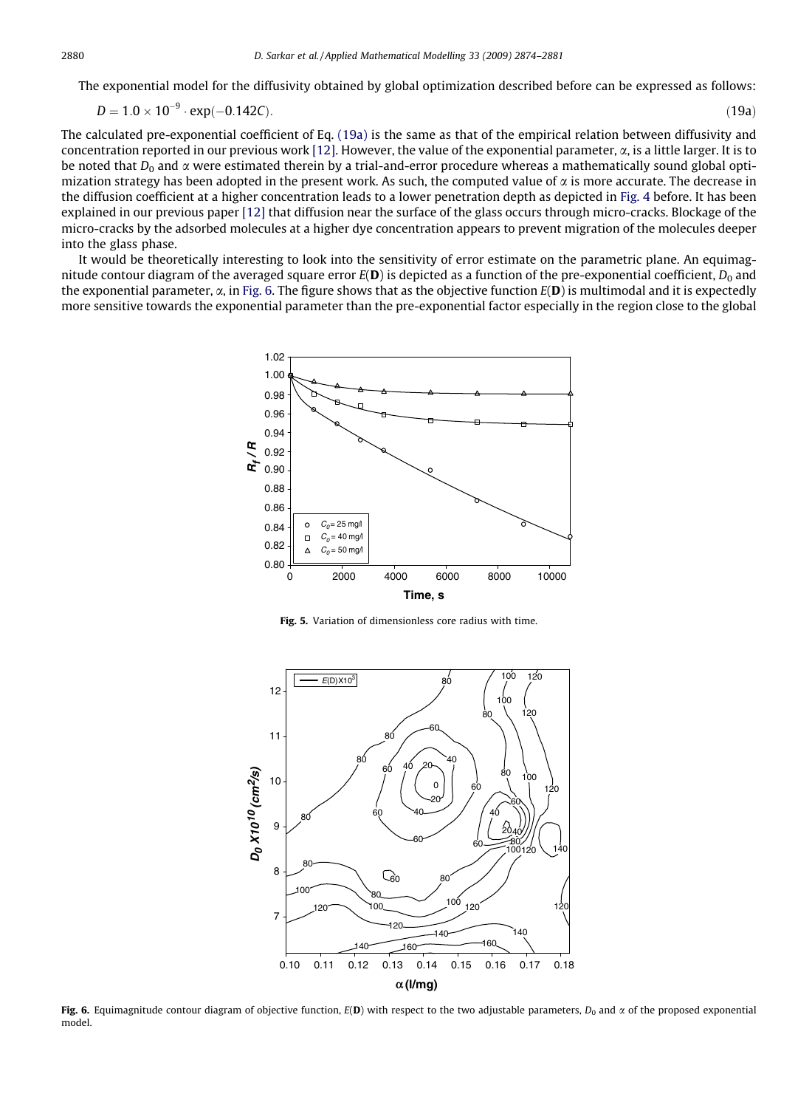<span id="page-6-0"></span>The exponential model for the diffusivity obtained by global optimization described before can be expressed as follows:

$$
D = 1.0 \times 10^{-9} \cdot \exp(-0.142C). \tag{19a}
$$

The calculated pre-exponential coefficient of Eq. (19a) is the same as that of the empirical relation between diffusivity and concentration reported in our previous work [\[12\].](#page-7-0) However, the value of the exponential parameter,  $\alpha$ , is a little larger. It is to be noted that  $D_0$  and  $\alpha$  were estimated therein by a trial-and-error procedure whereas a mathematically sound global optimization strategy has been adopted in the present work. As such, the computed value of  $\alpha$  is more accurate. The decrease in the diffusion coefficient at a higher concentration leads to a lower penetration depth as depicted in [Fig. 4](#page-5-0) before. It has been explained in our previous paper [\[12\]](#page-7-0) that diffusion near the surface of the glass occurs through micro-cracks. Blockage of the micro-cracks by the adsorbed molecules at a higher dye concentration appears to prevent migration of the molecules deeper into the glass phase.

It would be theoretically interesting to look into the sensitivity of error estimate on the parametric plane. An equimagnitude contour diagram of the averaged square error  $E(D)$  is depicted as a function of the pre-exponential coefficient,  $D_0$  and the exponential parameter,  $\alpha$ , in Fig. 6. The figure shows that as the objective function  $E(D)$  is multimodal and it is expectedly more sensitive towards the exponential parameter than the pre-exponential factor especially in the region close to the global



Fig. 5. Variation of dimensionless core radius with time.



Fig. 6. Equimagnitude contour diagram of objective function,  $E(D)$  with respect to the two adjustable parameters,  $D_0$  and  $\alpha$  of the proposed exponential model.